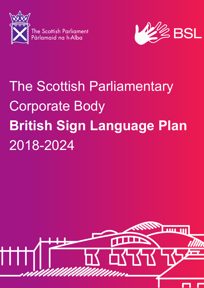

The Scottish Parliament<br>Pàrlamaid na h-Alba



# The Scottish Parliamentary Corporate Body **British Sign Language Plan**  2018-2024

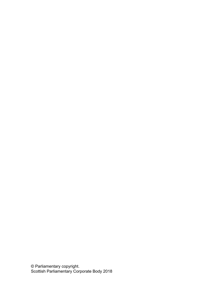© Parliamentary copyright. Scottish Parliamentary Corporate Body 2018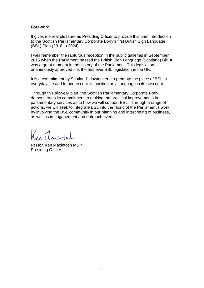## **Foreword**

It gives me real pleasure as Presiding Officer to provide this brief introduction to the Scottish Parliamentary Corporate Body's first British Sign Language (BSL) Plan (2018 to 2024).

I well remember the rapturous reception in the public galleries in September 2015 when the Parliament passed the British Sign Language (Scotland) Bill. It was a great moment in the history of the Parliament. This legislation – unanimously approved – is the first ever BSL legislation in the UK.

It is a commitment by Scotland's lawmakers to promote the place of BSL in everyday life and to underscore its position as a language in its own right.

Through this six-year plan, the Scottish Parliamentary Corporate Body demonstrates its commitment to making the practical improvements in parliamentary services as to how we will support BSL. Through a range of actions, we will seek to integrate BSL into the fabric of the Parliament's work: by involving the BSL community in our planning and interpreting of business, as well as in engagement and outreach events.

 $K_{en}$   $1$   $\leftrightarrow$ 

Rt Hon Ken Macintosh MSP Presiding Officer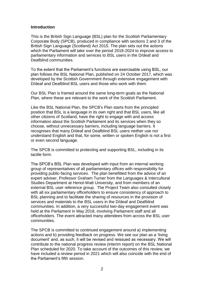## **Introduction**

This is the British Sign Language (BSL) plan for the Scottish Parliamentary Corporate Body (SPCB), produced in compliance with sections 2 and 3 of the British Sign Language (Scotland) Act 2015. The plan sets out the actions which the Parliament will take over the period 2018-2024 to improve access to parliamentary information and services to BSL users in the D/deaf and Deafblind communities.

To the extent that the Parliament's functions are exercisable using BSL, our plan follows the BSL National Plan, published on 24 October 2017, which was developed by the Scottish Government through extensive engagement with D/deaf and Deafblind BSL users and those who work with them.

Our BSL Plan is framed around the same long-term goals as the National Plan, where these are relevant to the work of the Scottish Parliament.

Like the BSL National Plan, the SPCB's Plan starts from the principled position that BSL is a language in its own right and that BSL users, like all other citizens of Scotland, have the right to engage with and access information about the Scottish Parliament and its services when they so choose, without unnecessary barriers, including language barriers. It recognises that many D/deaf and Deafblind BSL users neither use nor understand English and that, for some, written or spoken English is not a first or even second language.

The SPCB is committed to protecting and supporting BSL, including in its tactile form.

The SPCB's BSL Plan was developed with input from an internal working group of representatives of all parliamentary offices with responsibility for providing public-facing services. The plan benefitted from the advice of an expert adviser, Professor Graham Turner from the Languages & Intercultural Studies Department at Heriot-Watt University, and from members of an external BSL user reference group. The Project Team also consulted closely with all six parliamentary officeholders to ensure consistency of approach to BSL planning and to facilitate the sharing of resources in the provision of services and materials to the BSL users in the D/deaf and Deafblind communities. In addition, a very successful two-day engagement event was held at the Parliament in May 2018, involving Parliament staff and all officeholders. The event attracted many attendees from across the BSL user communities.

The SPCB is committed to continued engagement around a) implementing actions and b) providing feedback on progress. We see our plan as a 'living document' and, as such, it will be revised and reissued as necessary. We will contribute to the national progress review (interim report) on the BSL National Plan scheduled for 2020. To take account of the outcomes of this review, we have included a review period in 2021 which will also coincide with the end of the Parliament's fifth session.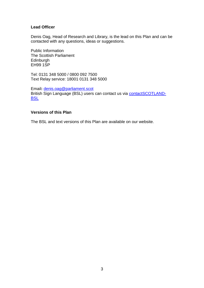## **Lead Officer**

Denis Oag, Head of Research and Library, is the lead on this Plan and can be contacted with any questions, ideas or suggestions.

Public Information The Scottish Parliament **Edinburgh** EH99 1SP

Tel: 0131 348 5000 / 0800 092 7500 Text Relay service: 18001 0131 348 5000

Email**:** [denis.oag@parliament.scot](mailto:denis.oag@parliament.scot) British Sign Language (BSL) users can contact us via [contactSCOTLAND-](http://contactscotland-bsl.org/)**[BSL](http://contactscotland-bsl.org/)** 

## **Versions of this Plan**

The BSL and text versions of this Plan are available on our website.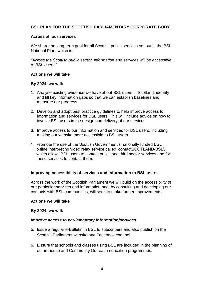## **BSL PLAN FOR THE SCOTTISH PARLIAMENTARY CORPORATE BODY**

## **Across all our services**

We share the long-term goal for all Scottish public services set out in the BSL National Plan, which is:

*"Across the Scottish public sector, information and services will be accessible to BSL users."*

## **Actions we will take**

## **By 2024, we will:**

- 1. Analyse existing evidence we have about BSL users in Scotland; identify and fill key information gaps so that we can establish baselines and measure our progress.
- 2. Develop and adopt best practice guidelines to help improve access to information and services for BSL users. This will include advice on how to involve BSL users in the design and delivery of our services.
- 3. Improve access to our information and services for BSL users, including making our website more accessible to BSL users.
- 4. Promote the use of the Scottish Government's nationally funded BSL online interpreting video relay service called 'contactSCOTLAND-BSL', which allows BSL users to contact public and third sector services and for these services to contact them.

## **Improving accessibility of services and information to BSL users**

Across the work of the Scottish Parliament we will build on the accessibility of our particular services and information and, by consulting and developing our contacts with BSL communities, will seek to make further improvements.

#### **Actions we will take**

#### **By 2024, we will:**

## *Improve access to parliamentary information/services*

- 5. Issue a regular e-Bulletin in BSL to subscribers and also publish on the Scottish Parliament website and Facebook channel.
- 6. Ensure that schools and classes using BSL are included in the planning of our in-house and Community Outreach education programmes.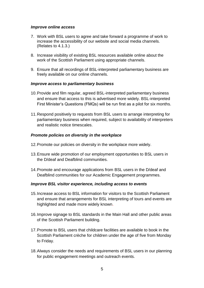## *Improve online access*

- 7. Work with BSL users to agree and take forward a programme of work to increase the accessibility of our website and social media channels. (Relates to 4.1.3.)
- 8. Increase visibility of existing BSL resources available online about the work of the Scottish Parliament using appropriate channels.
- 9. Ensure that all recordings of BSL-interpreted parliamentary business are freely available on our online channels.

## *Improve access to parliamentary business*

- 10.Provide and film regular, agreed BSL-interpreted parliamentary business and ensure that access to this is advertised more widely. BSL-interpreted First Minister's Questions (FMQs) will be run first as a pilot for six months.
- 11.Respond positively to requests from BSL users to arrange interpreting for parliamentary business when required, subject to availability of interpreters and realistic notice timescales.

## *Promote policies on diversity in the workplace*

- 12.Promote our policies on diversity in the workplace more widely.
- 13.Ensure wide promotion of our employment opportunities to BSL users in the D/deaf and Deafblind communities.
- 14.Promote and encourage applications from BSL users in the D/deaf and Deafblind communities for our Academic Engagement programmes.

## *Improve BSL visitor experience, including access to events*

- 15.Increase access to BSL information for visitors to the Scottish Parliament and ensure that arrangements for BSL interpreting of tours and events are highlighted and made more widely known.
- 16.Improve signage to BSL standards in the Main Hall and other public areas of the Scottish Parliament building.
- 17.Promote to BSL users that childcare facilities are available to book in the Scottish Parliament crèche for children under the age of five from Monday to Friday.
- 18.Always consider the needs and requirements of BSL users in our planning for public engagement meetings and outreach events.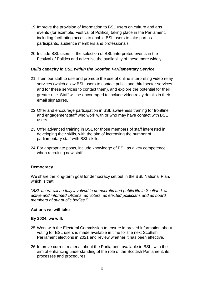- 19.Improve the provision of information to BSL users on culture and arts events (for example, Festival of Politics) taking place in the Parliament, including facilitating access to enable BSL users to take part as participants, audience members and professionals.
- 20.Include BSL users in the selection of BSL-interpreted events in the Festival of Politics and advertise the availability of these more widely.

## *Build capacity in BSL within the Scottish Parliamentary Service*

- 21.Train our staff to use and promote the use of online interpreting video relay services (which allow BSL users to contact public and third sector services and for these services to contact them), and explore the potential for their greater use. Staff will be encouraged to include video relay details in their email signatures.
- 22.Offer and encourage participation in BSL awareness training for frontline and engagement staff who work with or who may have contact with BSL users.
- 23.Offer advanced training in BSL for those members of staff interested in developing their skills, with the aim of increasing the number of parliamentary staff with BSL skills.
- 24.For appropriate posts, include knowledge of BSL as a key competence when recruiting new staff.

## **Democracy**

We share the long-term goal for democracy set out in the BSL National Plan, which is that:

*"BSL users will be fully involved in democratic and public life in Scotland, as active and informed citizens, as voters, as elected politicians and as board members of our public bodies."*

## **Actions we will take**

#### **By 2024, we will:**

- 25.Work with the Electoral Commission to ensure improved information about voting for BSL users is made available in time for the next Scottish Parliament elections in 2021 and review whether it has been effective.
- 26.Improve current material about the Parliament available in BSL, with the aim of enhancing understanding of the role of the Scottish Parliament, its processes and procedures.